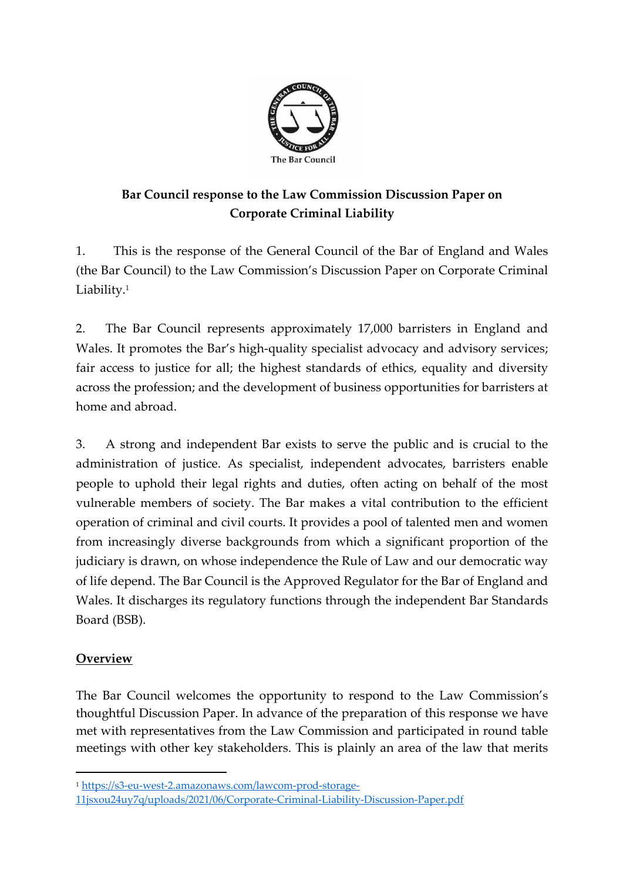

# **Bar Council response to the Law Commission Discussion Paper on Corporate Criminal Liability**

1. This is the response of the General Council of the Bar of England and Wales (the Bar Council) to the Law Commission's Discussion Paper on Corporate Criminal Liability.<sup>1</sup>

2. The Bar Council represents approximately 17,000 barristers in England and Wales. It promotes the Bar's high-quality specialist advocacy and advisory services; fair access to justice for all; the highest standards of ethics, equality and diversity across the profession; and the development of business opportunities for barristers at home and abroad.

3. A strong and independent Bar exists to serve the public and is crucial to the administration of justice. As specialist, independent advocates, barristers enable people to uphold their legal rights and duties, often acting on behalf of the most vulnerable members of society. The Bar makes a vital contribution to the efficient operation of criminal and civil courts. It provides a pool of talented men and women from increasingly diverse backgrounds from which a significant proportion of the judiciary is drawn, on whose independence the Rule of Law and our democratic way of life depend. The Bar Council is the Approved Regulator for the Bar of England and Wales. It discharges its regulatory functions through the independent Bar Standards Board (BSB).

### **Overview**

The Bar Council welcomes the opportunity to respond to the Law Commission's thoughtful Discussion Paper. In advance of the preparation of this response we have met with representatives from the Law Commission and participated in round table meetings with other key stakeholders. This is plainly an area of the law that merits

<sup>1</sup> https://s3-eu-west-2.amazonaws.com/lawcom-prod-storage-

<sup>11</sup>jsxou24uy7q/uploads/2021/06/Corporate-Criminal-Liability-Discussion-Paper.pdf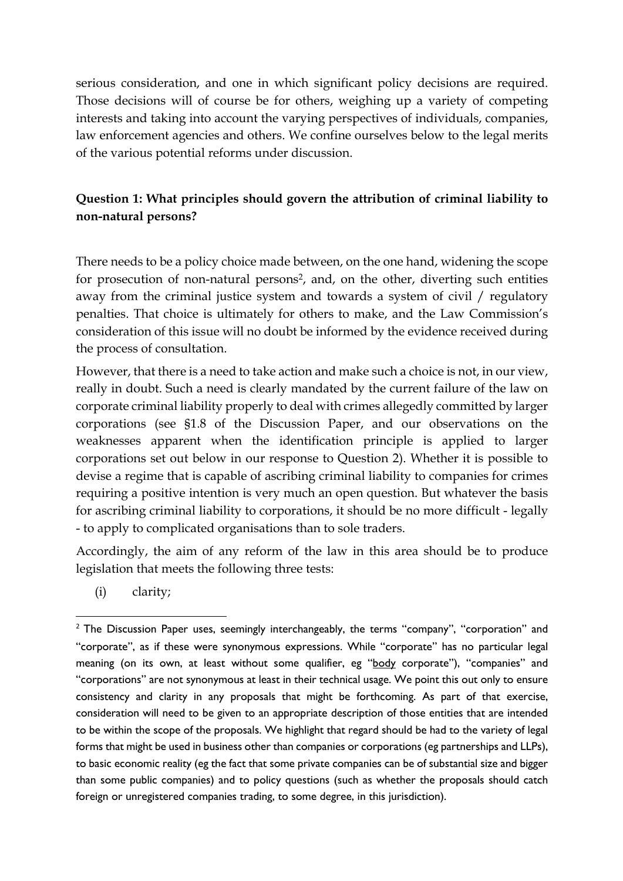serious consideration, and one in which significant policy decisions are required. Those decisions will of course be for others, weighing up a variety of competing interests and taking into account the varying perspectives of individuals, companies, law enforcement agencies and others. We confine ourselves below to the legal merits of the various potential reforms under discussion.

# **Question 1: What principles should govern the attribution of criminal liability to non-natural persons?**

There needs to be a policy choice made between, on the one hand, widening the scope for prosecution of non-natural persons<sup>2</sup>, and, on the other, diverting such entities away from the criminal justice system and towards a system of civil / regulatory penalties. That choice is ultimately for others to make, and the Law Commission's consideration of this issue will no doubt be informed by the evidence received during the process of consultation.

However, that there is a need to take action and make such a choice is not, in our view, really in doubt. Such a need is clearly mandated by the current failure of the law on corporate criminal liability properly to deal with crimes allegedly committed by larger corporations (see §1.8 of the Discussion Paper, and our observations on the weaknesses apparent when the identification principle is applied to larger corporations set out below in our response to Question 2). Whether it is possible to devise a regime that is capable of ascribing criminal liability to companies for crimes requiring a positive intention is very much an open question. But whatever the basis for ascribing criminal liability to corporations, it should be no more difficult - legally - to apply to complicated organisations than to sole traders.

Accordingly, the aim of any reform of the law in this area should be to produce legislation that meets the following three tests:

(i) clarity;

 $2$  The Discussion Paper uses, seemingly interchangeably, the terms "company", "corporation" and "corporate", as if these were synonymous expressions. While "corporate" has no particular legal meaning (on its own, at least without some qualifier, eg "body corporate"), "companies" and "corporations" are not synonymous at least in their technical usage. We point this out only to ensure consistency and clarity in any proposals that might be forthcoming. As part of that exercise, consideration will need to be given to an appropriate description of those entities that are intended to be within the scope of the proposals. We highlight that regard should be had to the variety of legal forms that might be used in business other than companies or corporations (eg partnerships and LLPs), to basic economic reality (eg the fact that some private companies can be of substantial size and bigger than some public companies) and to policy questions (such as whether the proposals should catch foreign or unregistered companies trading, to some degree, in this jurisdiction).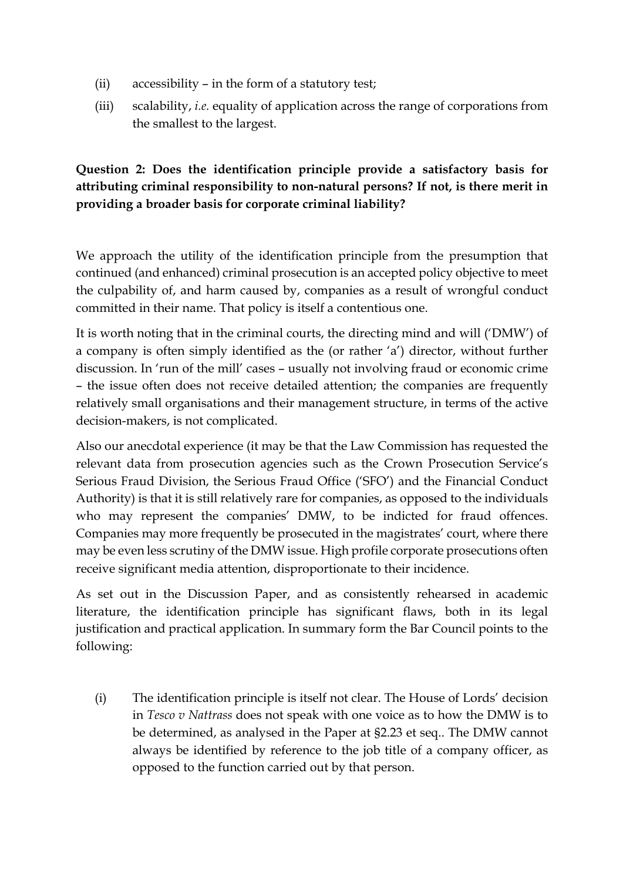- (ii) accessibility in the form of a statutory test;
- (iii) scalability, *i.e.* equality of application across the range of corporations from the smallest to the largest.

# **Question 2: Does the identification principle provide a satisfactory basis for attributing criminal responsibility to non-natural persons? If not, is there merit in providing a broader basis for corporate criminal liability?**

We approach the utility of the identification principle from the presumption that continued (and enhanced) criminal prosecution is an accepted policy objective to meet the culpability of, and harm caused by, companies as a result of wrongful conduct committed in their name. That policy is itself a contentious one.

It is worth noting that in the criminal courts, the directing mind and will ('DMW') of a company is often simply identified as the (or rather 'a') director, without further discussion. In 'run of the mill' cases – usually not involving fraud or economic crime – the issue often does not receive detailed attention; the companies are frequently relatively small organisations and their management structure, in terms of the active decision-makers, is not complicated.

Also our anecdotal experience (it may be that the Law Commission has requested the relevant data from prosecution agencies such as the Crown Prosecution Service's Serious Fraud Division, the Serious Fraud Office ('SFO') and the Financial Conduct Authority) is that it is still relatively rare for companies, as opposed to the individuals who may represent the companies' DMW, to be indicted for fraud offences. Companies may more frequently be prosecuted in the magistrates' court, where there may be even less scrutiny of the DMW issue. High profile corporate prosecutions often receive significant media attention, disproportionate to their incidence.

As set out in the Discussion Paper, and as consistently rehearsed in academic literature, the identification principle has significant flaws, both in its legal justification and practical application. In summary form the Bar Council points to the following:

(i) The identification principle is itself not clear. The House of Lords' decision in *Tesco v Nattrass* does not speak with one voice as to how the DMW is to be determined, as analysed in the Paper at §2.23 et seq.. The DMW cannot always be identified by reference to the job title of a company officer, as opposed to the function carried out by that person.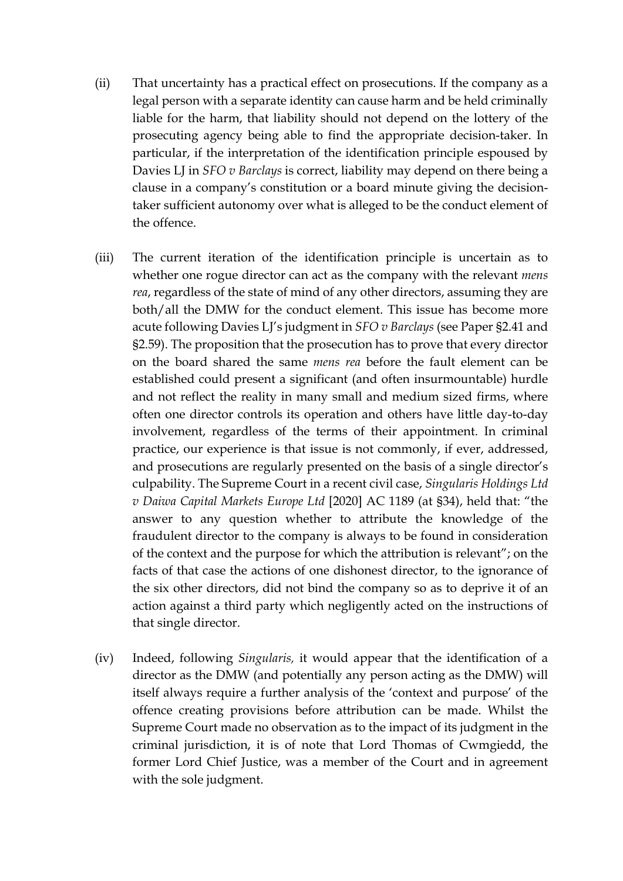- (ii) That uncertainty has a practical effect on prosecutions. If the company as a legal person with a separate identity can cause harm and be held criminally liable for the harm, that liability should not depend on the lottery of the prosecuting agency being able to find the appropriate decision-taker. In particular, if the interpretation of the identification principle espoused by Davies LJ in *SFO v Barclays* is correct, liability may depend on there being a clause in a company's constitution or a board minute giving the decisiontaker sufficient autonomy over what is alleged to be the conduct element of the offence.
- (iii) The current iteration of the identification principle is uncertain as to whether one rogue director can act as the company with the relevant *mens rea*, regardless of the state of mind of any other directors, assuming they are both/all the DMW for the conduct element. This issue has become more acute following Davies LJ's judgment in *SFO v Barclays* (see Paper §2.41 and §2.59). The proposition that the prosecution has to prove that every director on the board shared the same *mens rea* before the fault element can be established could present a significant (and often insurmountable) hurdle and not reflect the reality in many small and medium sized firms, where often one director controls its operation and others have little day-to-day involvement, regardless of the terms of their appointment. In criminal practice, our experience is that issue is not commonly, if ever, addressed, and prosecutions are regularly presented on the basis of a single director's culpability. The Supreme Court in a recent civil case, *Singularis Holdings Ltd v Daiwa Capital Markets Europe Ltd* [2020] AC 1189 (at §34), held that: "the answer to any question whether to attribute the knowledge of the fraudulent director to the company is always to be found in consideration of the context and the purpose for which the attribution is relevant"; on the facts of that case the actions of one dishonest director, to the ignorance of the six other directors, did not bind the company so as to deprive it of an action against a third party which negligently acted on the instructions of that single director.
- (iv) Indeed, following *Singularis,* it would appear that the identification of a director as the DMW (and potentially any person acting as the DMW) will itself always require a further analysis of the 'context and purpose' of the offence creating provisions before attribution can be made. Whilst the Supreme Court made no observation as to the impact of its judgment in the criminal jurisdiction, it is of note that Lord Thomas of Cwmgiedd, the former Lord Chief Justice, was a member of the Court and in agreement with the sole judgment.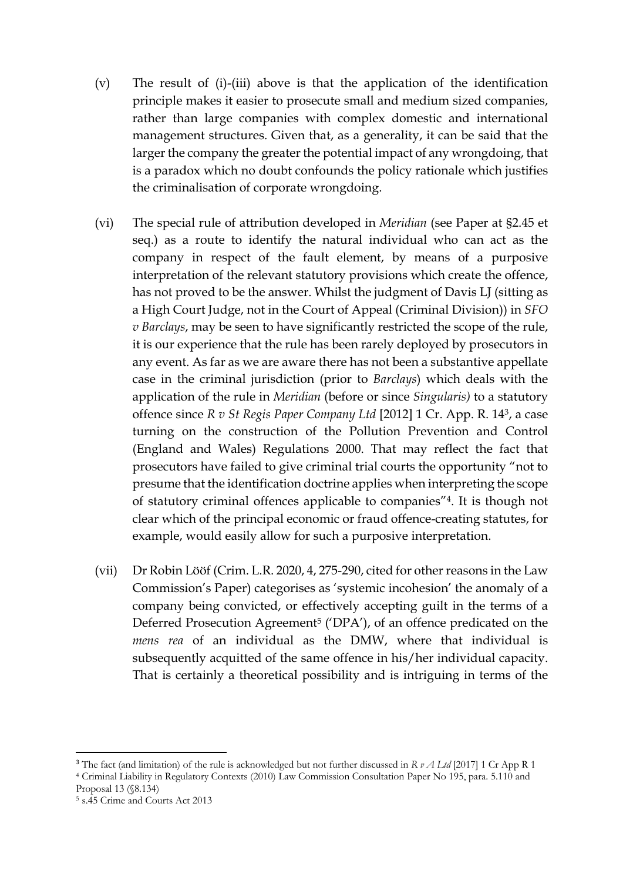- (v) The result of (i)-(iii) above is that the application of the identification principle makes it easier to prosecute small and medium sized companies, rather than large companies with complex domestic and international management structures. Given that, as a generality, it can be said that the larger the company the greater the potential impact of any wrongdoing, that is a paradox which no doubt confounds the policy rationale which justifies the criminalisation of corporate wrongdoing.
- (vi) The special rule of attribution developed in *Meridian* (see Paper at §2.45 et seq.) as a route to identify the natural individual who can act as the company in respect of the fault element, by means of a purposive interpretation of the relevant statutory provisions which create the offence, has not proved to be the answer. Whilst the judgment of Davis LJ (sitting as a High Court Judge, not in the Court of Appeal (Criminal Division)) in *SFO v Barclays*, may be seen to have significantly restricted the scope of the rule, it is our experience that the rule has been rarely deployed by prosecutors in any event. As far as we are aware there has not been a substantive appellate case in the criminal jurisdiction (prior to *Barclays*) which deals with the application of the rule in *Meridian* (before or since *Singularis)* to a statutory offence since *R v St Regis Paper Company Ltd* [2012] 1 Cr. App. R. 143, a case turning on the construction of the Pollution Prevention and Control (England and Wales) Regulations 2000. That may reflect the fact that prosecutors have failed to give criminal trial courts the opportunity "not to presume that the identification doctrine applies when interpreting the scope of statutory criminal offences applicable to companies"4. It is though not clear which of the principal economic or fraud offence-creating statutes, for example, would easily allow for such a purposive interpretation.
- (vii) Dr Robin Lööf (Crim. L.R. 2020, 4, 275-290, cited for other reasons in the Law Commission's Paper) categorises as 'systemic incohesion' the anomaly of a company being convicted, or effectively accepting guilt in the terms of a Deferred Prosecution Agreement<sup>5</sup> ('DPA'), of an offence predicated on the *mens rea* of an individual as the DMW, where that individual is subsequently acquitted of the same offence in his/her individual capacity. That is certainly a theoretical possibility and is intriguing in terms of the

<sup>3</sup> The fact (and limitation) of the rule is acknowledged but not further discussed in *R v A Ltd* [2017] 1 Cr App R 1 <sup>4</sup> Criminal Liability in Regulatory Contexts (2010) Law Commission Consultation Paper No 195, para. 5.110 and Proposal 13 (§8.134)

<sup>5</sup> s.45 Crime and Courts Act 2013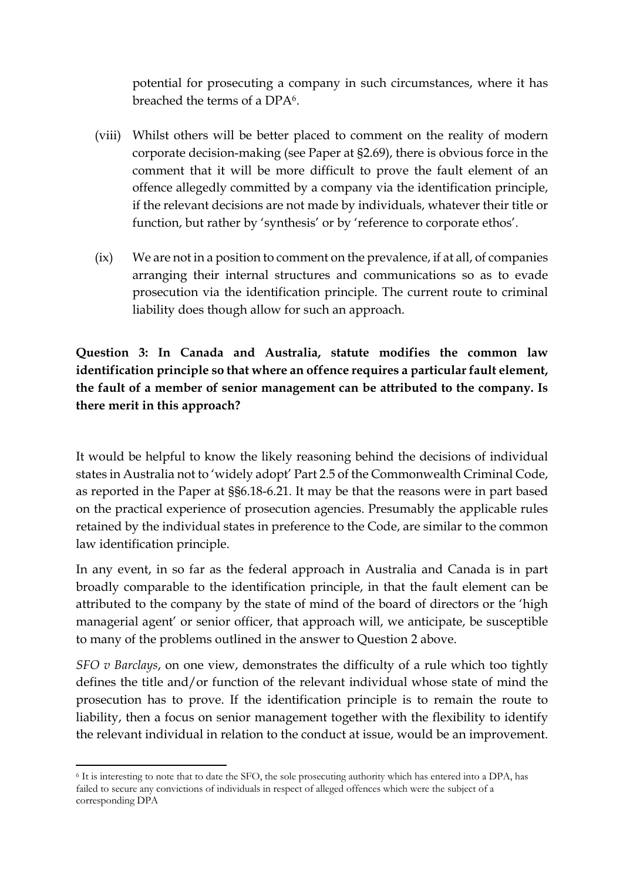potential for prosecuting a company in such circumstances, where it has breached the terms of a DPA6.

- (viii) Whilst others will be better placed to comment on the reality of modern corporate decision-making (see Paper at §2.69), there is obvious force in the comment that it will be more difficult to prove the fault element of an offence allegedly committed by a company via the identification principle, if the relevant decisions are not made by individuals, whatever their title or function, but rather by 'synthesis' or by 'reference to corporate ethos'.
- (ix) We are not in a position to comment on the prevalence, if at all, of companies arranging their internal structures and communications so as to evade prosecution via the identification principle. The current route to criminal liability does though allow for such an approach.

**Question 3: In Canada and Australia, statute modifies the common law identification principle so that where an offence requires a particular fault element, the fault of a member of senior management can be attributed to the company. Is there merit in this approach?** 

It would be helpful to know the likely reasoning behind the decisions of individual states in Australia not to 'widely adopt' Part 2.5 of the Commonwealth Criminal Code, as reported in the Paper at §§6.18-6.21. It may be that the reasons were in part based on the practical experience of prosecution agencies. Presumably the applicable rules retained by the individual states in preference to the Code, are similar to the common law identification principle.

In any event, in so far as the federal approach in Australia and Canada is in part broadly comparable to the identification principle, in that the fault element can be attributed to the company by the state of mind of the board of directors or the 'high managerial agent' or senior officer, that approach will, we anticipate, be susceptible to many of the problems outlined in the answer to Question 2 above.

*SFO v Barclays*, on one view, demonstrates the difficulty of a rule which too tightly defines the title and/or function of the relevant individual whose state of mind the prosecution has to prove. If the identification principle is to remain the route to liability, then a focus on senior management together with the flexibility to identify the relevant individual in relation to the conduct at issue, would be an improvement.

<sup>6</sup> It is interesting to note that to date the SFO, the sole prosecuting authority which has entered into a DPA, has failed to secure any convictions of individuals in respect of alleged offences which were the subject of a corresponding DPA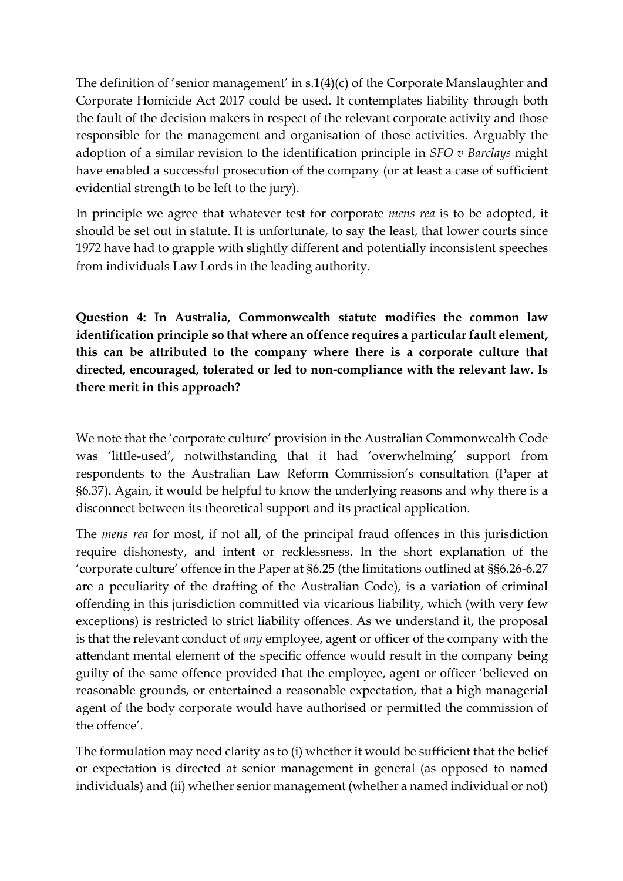The definition of 'senior management' in s.1(4)(c) of the Corporate Manslaughter and Corporate Homicide Act 2017 could be used. It contemplates liability through both the fault of the decision makers in respect of the relevant corporate activity and those responsible for the management and organisation of those activities. Arguably the adoption of a similar revision to the identification principle in *SFO v Barclays* might have enabled a successful prosecution of the company (or at least a case of sufficient evidential strength to be left to the jury).

In principle we agree that whatever test for corporate *mens rea* is to be adopted, it should be set out in statute. It is unfortunate, to say the least, that lower courts since 1972 have had to grapple with slightly different and potentially inconsistent speeches from individuals Law Lords in the leading authority.

**Question 4: In Australia, Commonwealth statute modifies the common law identification principle so that where an offence requires a particular fault element, this can be attributed to the company where there is a corporate culture that directed, encouraged, tolerated or led to non-compliance with the relevant law. Is there merit in this approach?** 

We note that the 'corporate culture' provision in the Australian Commonwealth Code was 'little-used', notwithstanding that it had 'overwhelming' support from respondents to the Australian Law Reform Commission's consultation (Paper at §6.37). Again, it would be helpful to know the underlying reasons and why there is a disconnect between its theoretical support and its practical application.

The *mens rea* for most, if not all, of the principal fraud offences in this jurisdiction require dishonesty, and intent or recklessness. In the short explanation of the 'corporate culture' offence in the Paper at §6.25 (the limitations outlined at §§6.26-6.27 are a peculiarity of the drafting of the Australian Code), is a variation of criminal offending in this jurisdiction committed via vicarious liability, which (with very few exceptions) is restricted to strict liability offences. As we understand it, the proposal is that the relevant conduct of *any* employee, agent or officer of the company with the attendant mental element of the specific offence would result in the company being guilty of the same offence provided that the employee, agent or officer 'believed on reasonable grounds, or entertained a reasonable expectation, that a high managerial agent of the body corporate would have authorised or permitted the commission of the offence'.

The formulation may need clarity as to (i) whether it would be sufficient that the belief or expectation is directed at senior management in general (as opposed to named individuals) and (ii) whether senior management (whether a named individual or not)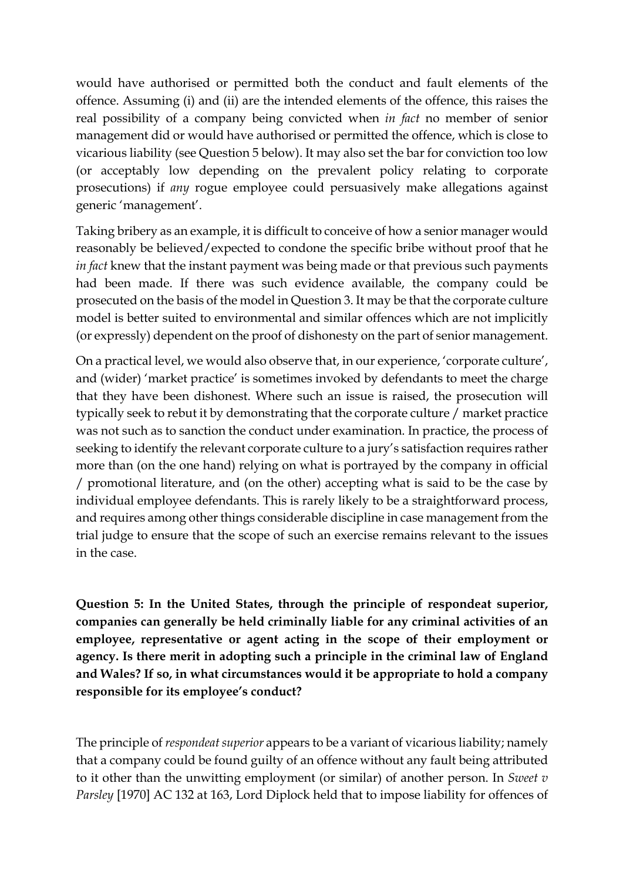would have authorised or permitted both the conduct and fault elements of the offence. Assuming (i) and (ii) are the intended elements of the offence, this raises the real possibility of a company being convicted when *in fact* no member of senior management did or would have authorised or permitted the offence, which is close to vicarious liability (see Question 5 below). It may also set the bar for conviction too low (or acceptably low depending on the prevalent policy relating to corporate prosecutions) if *any* rogue employee could persuasively make allegations against generic 'management'.

Taking bribery as an example, it is difficult to conceive of how a senior manager would reasonably be believed/expected to condone the specific bribe without proof that he *in fact* knew that the instant payment was being made or that previous such payments had been made. If there was such evidence available, the company could be prosecuted on the basis of the model in Question 3. It may be that the corporate culture model is better suited to environmental and similar offences which are not implicitly (or expressly) dependent on the proof of dishonesty on the part of senior management.

On a practical level, we would also observe that, in our experience, 'corporate culture', and (wider) 'market practice' is sometimes invoked by defendants to meet the charge that they have been dishonest. Where such an issue is raised, the prosecution will typically seek to rebut it by demonstrating that the corporate culture / market practice was not such as to sanction the conduct under examination. In practice, the process of seeking to identify the relevant corporate culture to a jury's satisfaction requires rather more than (on the one hand) relying on what is portrayed by the company in official / promotional literature, and (on the other) accepting what is said to be the case by individual employee defendants. This is rarely likely to be a straightforward process, and requires among other things considerable discipline in case management from the trial judge to ensure that the scope of such an exercise remains relevant to the issues in the case.

**Question 5: In the United States, through the principle of respondeat superior, companies can generally be held criminally liable for any criminal activities of an employee, representative or agent acting in the scope of their employment or agency. Is there merit in adopting such a principle in the criminal law of England and Wales? If so, in what circumstances would it be appropriate to hold a company responsible for its employee's conduct?**

The principle of *respondeat superior* appears to be a variant of vicarious liability; namely that a company could be found guilty of an offence without any fault being attributed to it other than the unwitting employment (or similar) of another person. In *Sweet v Parsley* [1970] AC 132 at 163, Lord Diplock held that to impose liability for offences of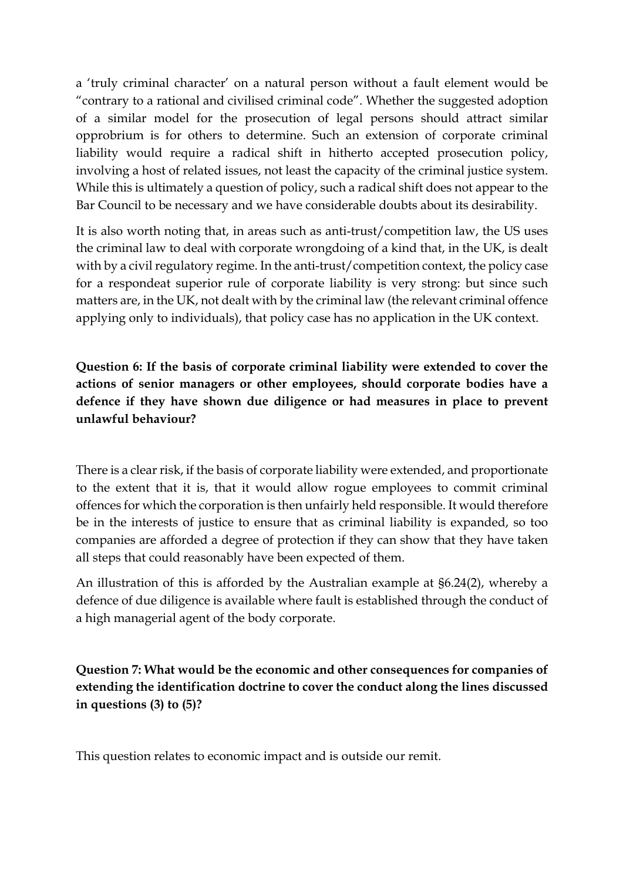a 'truly criminal character' on a natural person without a fault element would be "contrary to a rational and civilised criminal code". Whether the suggested adoption of a similar model for the prosecution of legal persons should attract similar opprobrium is for others to determine. Such an extension of corporate criminal liability would require a radical shift in hitherto accepted prosecution policy, involving a host of related issues, not least the capacity of the criminal justice system. While this is ultimately a question of policy, such a radical shift does not appear to the Bar Council to be necessary and we have considerable doubts about its desirability.

It is also worth noting that, in areas such as anti-trust/competition law, the US uses the criminal law to deal with corporate wrongdoing of a kind that, in the UK, is dealt with by a civil regulatory regime. In the anti-trust/competition context, the policy case for a respondeat superior rule of corporate liability is very strong: but since such matters are, in the UK, not dealt with by the criminal law (the relevant criminal offence applying only to individuals), that policy case has no application in the UK context.

**Question 6: If the basis of corporate criminal liability were extended to cover the actions of senior managers or other employees, should corporate bodies have a defence if they have shown due diligence or had measures in place to prevent unlawful behaviour?** 

There is a clear risk, if the basis of corporate liability were extended, and proportionate to the extent that it is, that it would allow rogue employees to commit criminal offences for which the corporation is then unfairly held responsible. It would therefore be in the interests of justice to ensure that as criminal liability is expanded, so too companies are afforded a degree of protection if they can show that they have taken all steps that could reasonably have been expected of them.

An illustration of this is afforded by the Australian example at §6.24(2), whereby a defence of due diligence is available where fault is established through the conduct of a high managerial agent of the body corporate.

**Question 7: What would be the economic and other consequences for companies of extending the identification doctrine to cover the conduct along the lines discussed in questions (3) to (5)?** 

This question relates to economic impact and is outside our remit.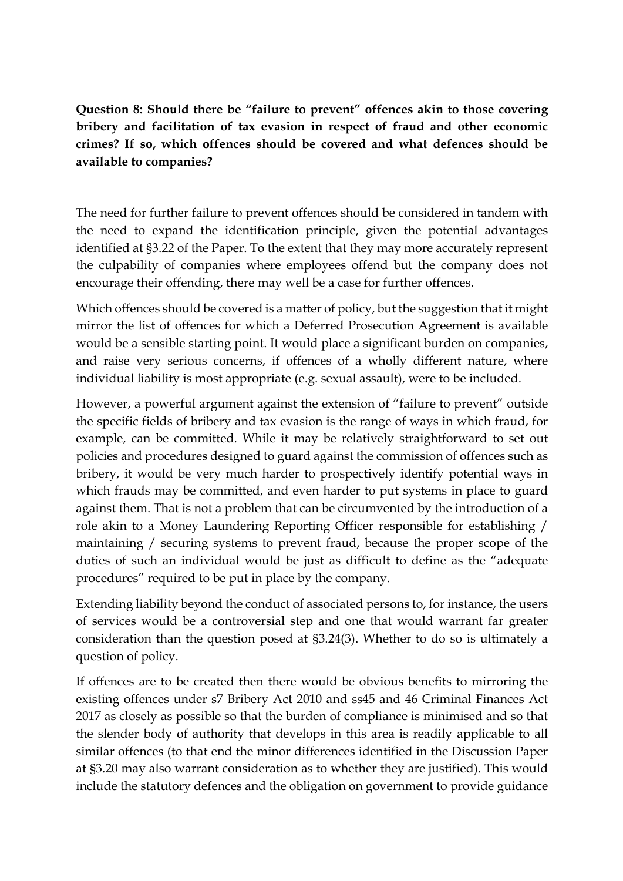**Question 8: Should there be "failure to prevent" offences akin to those covering bribery and facilitation of tax evasion in respect of fraud and other economic crimes? If so, which offences should be covered and what defences should be available to companies?**

The need for further failure to prevent offences should be considered in tandem with the need to expand the identification principle, given the potential advantages identified at §3.22 of the Paper. To the extent that they may more accurately represent the culpability of companies where employees offend but the company does not encourage their offending, there may well be a case for further offences.

Which offences should be covered is a matter of policy, but the suggestion that it might mirror the list of offences for which a Deferred Prosecution Agreement is available would be a sensible starting point. It would place a significant burden on companies, and raise very serious concerns, if offences of a wholly different nature, where individual liability is most appropriate (e.g. sexual assault), were to be included.

However, a powerful argument against the extension of "failure to prevent" outside the specific fields of bribery and tax evasion is the range of ways in which fraud, for example, can be committed. While it may be relatively straightforward to set out policies and procedures designed to guard against the commission of offences such as bribery, it would be very much harder to prospectively identify potential ways in which frauds may be committed, and even harder to put systems in place to guard against them. That is not a problem that can be circumvented by the introduction of a role akin to a Money Laundering Reporting Officer responsible for establishing / maintaining / securing systems to prevent fraud, because the proper scope of the duties of such an individual would be just as difficult to define as the "adequate procedures" required to be put in place by the company.

Extending liability beyond the conduct of associated persons to, for instance, the users of services would be a controversial step and one that would warrant far greater consideration than the question posed at §3.24(3). Whether to do so is ultimately a question of policy.

If offences are to be created then there would be obvious benefits to mirroring the existing offences under s7 Bribery Act 2010 and ss45 and 46 Criminal Finances Act 2017 as closely as possible so that the burden of compliance is minimised and so that the slender body of authority that develops in this area is readily applicable to all similar offences (to that end the minor differences identified in the Discussion Paper at §3.20 may also warrant consideration as to whether they are justified). This would include the statutory defences and the obligation on government to provide guidance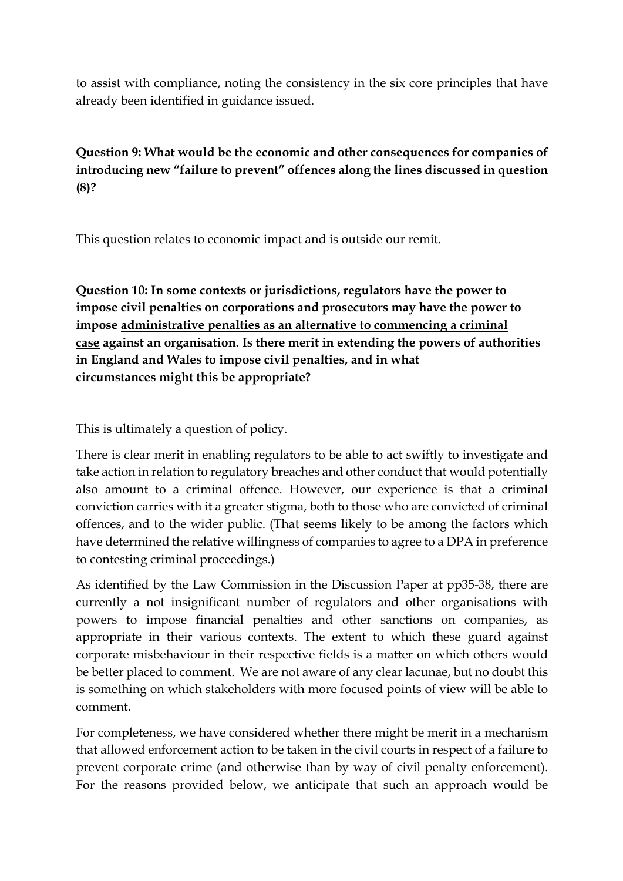to assist with compliance, noting the consistency in the six core principles that have already been identified in guidance issued.

## **Question 9: What would be the economic and other consequences for companies of introducing new "failure to prevent" offences along the lines discussed in question (8)?**

This question relates to economic impact and is outside our remit.

**Question 10: In some contexts or jurisdictions, regulators have the power to impose civil penalties on corporations and prosecutors may have the power to impose administrative penalties as an alternative to commencing a criminal case against an organisation. Is there merit in extending the powers of authorities in England and Wales to impose civil penalties, and in what circumstances might this be appropriate?**

This is ultimately a question of policy.

There is clear merit in enabling regulators to be able to act swiftly to investigate and take action in relation to regulatory breaches and other conduct that would potentially also amount to a criminal offence. However, our experience is that a criminal conviction carries with it a greater stigma, both to those who are convicted of criminal offences, and to the wider public. (That seems likely to be among the factors which have determined the relative willingness of companies to agree to a DPA in preference to contesting criminal proceedings.)

As identified by the Law Commission in the Discussion Paper at pp35-38, there are currently a not insignificant number of regulators and other organisations with powers to impose financial penalties and other sanctions on companies, as appropriate in their various contexts. The extent to which these guard against corporate misbehaviour in their respective fields is a matter on which others would be better placed to comment. We are not aware of any clear lacunae, but no doubt this is something on which stakeholders with more focused points of view will be able to comment.

For completeness, we have considered whether there might be merit in a mechanism that allowed enforcement action to be taken in the civil courts in respect of a failure to prevent corporate crime (and otherwise than by way of civil penalty enforcement). For the reasons provided below, we anticipate that such an approach would be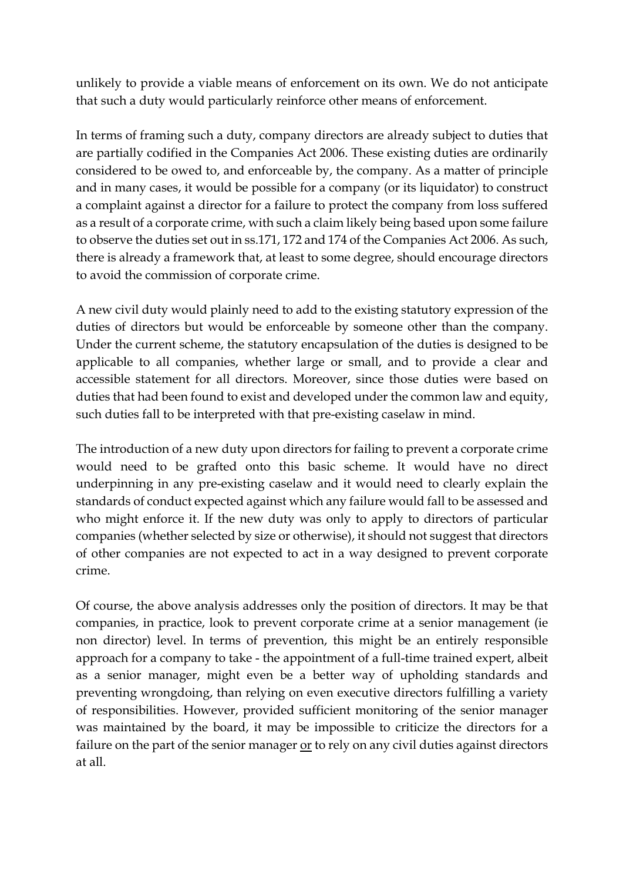unlikely to provide a viable means of enforcement on its own. We do not anticipate that such a duty would particularly reinforce other means of enforcement.

In terms of framing such a duty, company directors are already subject to duties that are partially codified in the Companies Act 2006. These existing duties are ordinarily considered to be owed to, and enforceable by, the company. As a matter of principle and in many cases, it would be possible for a company (or its liquidator) to construct a complaint against a director for a failure to protect the company from loss suffered as a result of a corporate crime, with such a claim likely being based upon some failure to observe the duties set out in ss.171, 172 and 174 of the Companies Act 2006. As such, there is already a framework that, at least to some degree, should encourage directors to avoid the commission of corporate crime.

A new civil duty would plainly need to add to the existing statutory expression of the duties of directors but would be enforceable by someone other than the company. Under the current scheme, the statutory encapsulation of the duties is designed to be applicable to all companies, whether large or small, and to provide a clear and accessible statement for all directors. Moreover, since those duties were based on duties that had been found to exist and developed under the common law and equity, such duties fall to be interpreted with that pre-existing caselaw in mind.

The introduction of a new duty upon directors for failing to prevent a corporate crime would need to be grafted onto this basic scheme. It would have no direct underpinning in any pre-existing caselaw and it would need to clearly explain the standards of conduct expected against which any failure would fall to be assessed and who might enforce it. If the new duty was only to apply to directors of particular companies (whether selected by size or otherwise), it should not suggest that directors of other companies are not expected to act in a way designed to prevent corporate crime.

Of course, the above analysis addresses only the position of directors. It may be that companies, in practice, look to prevent corporate crime at a senior management (ie non director) level. In terms of prevention, this might be an entirely responsible approach for a company to take - the appointment of a full-time trained expert, albeit as a senior manager, might even be a better way of upholding standards and preventing wrongdoing, than relying on even executive directors fulfilling a variety of responsibilities. However, provided sufficient monitoring of the senior manager was maintained by the board, it may be impossible to criticize the directors for a failure on the part of the senior manager or to rely on any civil duties against directors at all.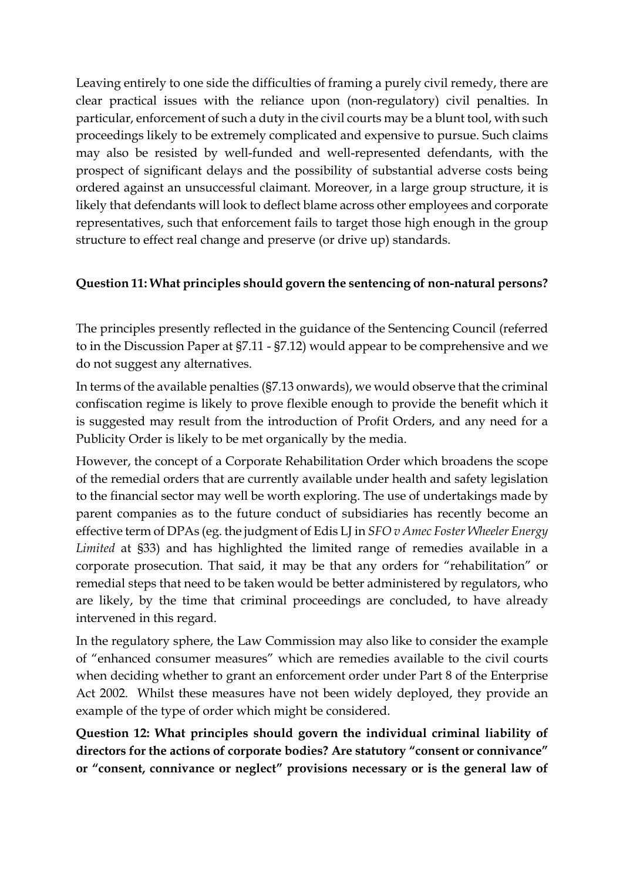Leaving entirely to one side the difficulties of framing a purely civil remedy, there are clear practical issues with the reliance upon (non-regulatory) civil penalties. In particular, enforcement of such a duty in the civil courts may be a blunt tool, with such proceedings likely to be extremely complicated and expensive to pursue. Such claims may also be resisted by well-funded and well-represented defendants, with the prospect of significant delays and the possibility of substantial adverse costs being ordered against an unsuccessful claimant. Moreover, in a large group structure, it is likely that defendants will look to deflect blame across other employees and corporate representatives, such that enforcement fails to target those high enough in the group structure to effect real change and preserve (or drive up) standards.

#### **Question 11: What principles should govern the sentencing of non-natural persons?**

The principles presently reflected in the guidance of the Sentencing Council (referred to in the Discussion Paper at §7.11 - §7.12) would appear to be comprehensive and we do not suggest any alternatives.

In terms of the available penalties (§7.13 onwards), we would observe that the criminal confiscation regime is likely to prove flexible enough to provide the benefit which it is suggested may result from the introduction of Profit Orders, and any need for a Publicity Order is likely to be met organically by the media.

However, the concept of a Corporate Rehabilitation Order which broadens the scope of the remedial orders that are currently available under health and safety legislation to the financial sector may well be worth exploring. The use of undertakings made by parent companies as to the future conduct of subsidiaries has recently become an effective term of DPAs (eg. the judgment of Edis LJ in *SFO v Amec Foster Wheeler Energy Limited* at §33) and has highlighted the limited range of remedies available in a corporate prosecution. That said, it may be that any orders for "rehabilitation" or remedial steps that need to be taken would be better administered by regulators, who are likely, by the time that criminal proceedings are concluded, to have already intervened in this regard.

In the regulatory sphere, the Law Commission may also like to consider the example of "enhanced consumer measures" which are remedies available to the civil courts when deciding whether to grant an enforcement order under Part 8 of the Enterprise Act 2002. Whilst these measures have not been widely deployed, they provide an example of the type of order which might be considered.

**Question 12: What principles should govern the individual criminal liability of directors for the actions of corporate bodies? Are statutory "consent or connivance" or "consent, connivance or neglect" provisions necessary or is the general law of**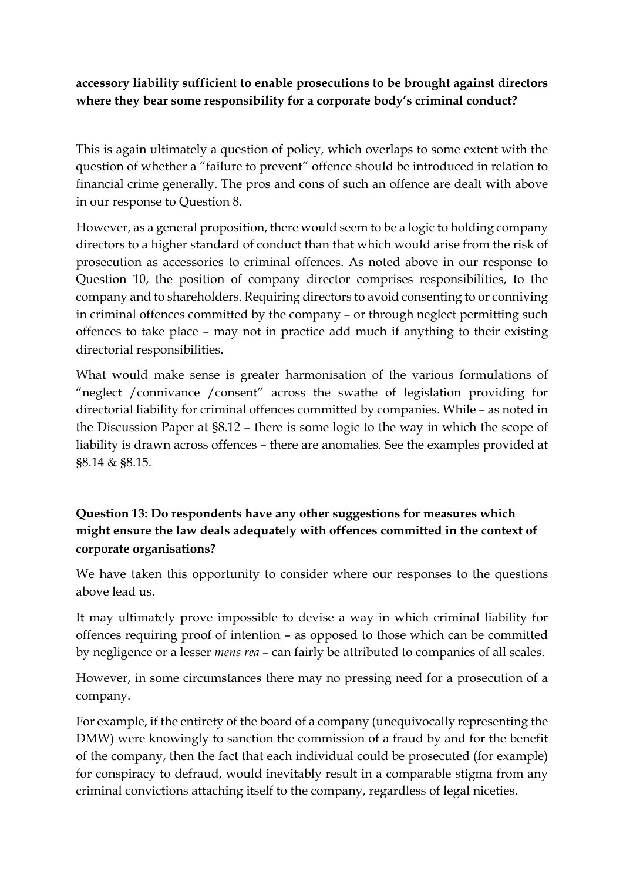**accessory liability sufficient to enable prosecutions to be brought against directors where they bear some responsibility for a corporate body's criminal conduct?**

This is again ultimately a question of policy, which overlaps to some extent with the question of whether a "failure to prevent" offence should be introduced in relation to financial crime generally. The pros and cons of such an offence are dealt with above in our response to Question 8.

However, as a general proposition, there would seem to be a logic to holding company directors to a higher standard of conduct than that which would arise from the risk of prosecution as accessories to criminal offences. As noted above in our response to Question 10, the position of company director comprises responsibilities, to the company and to shareholders. Requiring directors to avoid consenting to or conniving in criminal offences committed by the company – or through neglect permitting such offences to take place – may not in practice add much if anything to their existing directorial responsibilities.

What would make sense is greater harmonisation of the various formulations of "neglect /connivance /consent" across the swathe of legislation providing for directorial liability for criminal offences committed by companies. While – as noted in the Discussion Paper at §8.12 – there is some logic to the way in which the scope of liability is drawn across offences – there are anomalies. See the examples provided at §8.14 & §8.15.

# **Question 13: Do respondents have any other suggestions for measures which might ensure the law deals adequately with offences committed in the context of corporate organisations?**

We have taken this opportunity to consider where our responses to the questions above lead us.

It may ultimately prove impossible to devise a way in which criminal liability for offences requiring proof of intention – as opposed to those which can be committed by negligence or a lesser *mens rea* – can fairly be attributed to companies of all scales.

However, in some circumstances there may no pressing need for a prosecution of a company.

For example, if the entirety of the board of a company (unequivocally representing the DMW) were knowingly to sanction the commission of a fraud by and for the benefit of the company, then the fact that each individual could be prosecuted (for example) for conspiracy to defraud, would inevitably result in a comparable stigma from any criminal convictions attaching itself to the company, regardless of legal niceties.